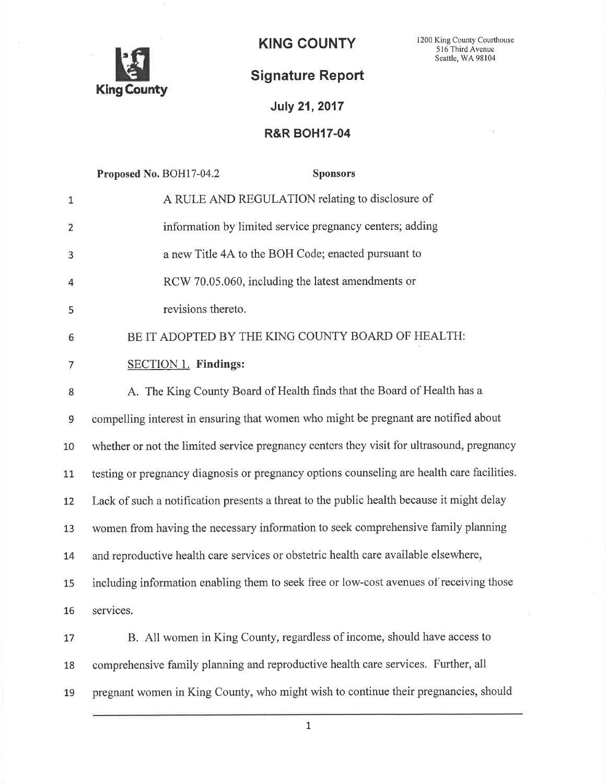

KING COUNTY <sup>1200</sup>King County Courthouse <sup>5</sup>l6 Third Avenue Seattle, WA 98104

# Signature Report

# July 21,2017

# R&R BOH17-04

|                  | Proposed No. BOH17-04.2<br><b>Sponsors</b>                                                 |
|------------------|--------------------------------------------------------------------------------------------|
| $\mathbf{1}$     | A RULE AND REGULATION relating to disclosure of                                            |
| $\overline{2}$   | information by limited service pregnancy centers; adding                                   |
| 3                | a new Title 4A to the BOH Code; enacted pursuant to                                        |
| 4                | RCW 70.05.060, including the latest amendments or                                          |
| 5                | revisions thereto.                                                                         |
| 6                | BE IT ADOPTED BY THE KING COUNTY BOARD OF HEALTH:                                          |
| 7                | <b>SECTION 1. Findings:</b>                                                                |
| 8                | A. The King County Board of Health finds that the Board of Health has a                    |
| $\boldsymbol{9}$ | compelling interest in ensuring that women who might be pregnant are notified about        |
| 10               | whether or not the limited service pregnancy centers they visit for ultrasound, pregnancy  |
| 11               | testing or pregnancy diagnosis or pregnancy options counseling are health care facilities. |
| 12               | Lack of such a notification presents a threat to the public health because it might delay  |
| 13               | women from having the necessary information to seek comprehensive family planning          |
| 14               | and reproductive health care services or obstetric health care available elsewhere,        |
| 15               | including information enabling them to seek free or low-cost avenues of receiving those    |
| 16               | services.                                                                                  |
| 17               | B. All women in King County, regardless of income, should have access to                   |
| 18               | comprehensive family planning and reproductive health care services. Further, all          |
| 19               | pregnant women in King County, who might wish to continue their pregnancies, should        |

 $\mathbf{1}$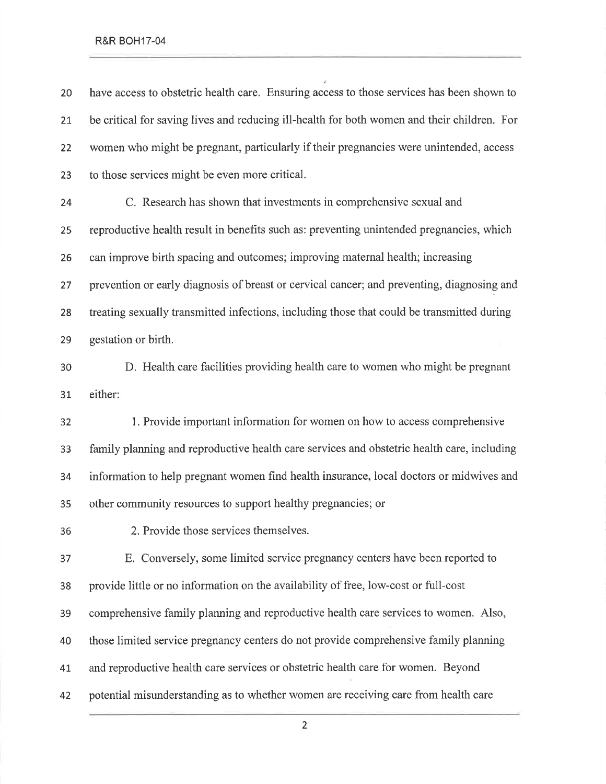have access to obstetric health care. Ensuring access to those services has been shown to 2t be critical for saving lives and reducing ill-health for both women and their children. For women who might be pregnant, particularly if their pregnancies were unintended, access to those services might be even more critical. C. Research has shown that investments in comprehensive sexual and reproductive health result in benefits such as: preventing unintended pregnancies, which can improve birth spacing and outcomes; improving maternal health; increasing 27 prevention or early diagnosis of breast or cervical cancer; and preventing, diagnosing and treating sexually transmitted infections, including those that could be transmitted during gestation or birth.

D. Health care facilities providing health care to women who might be pregnant 31 either:

1. Provide important information for women on how to access comprehensive family planning and reproductive health care services and obstetric health care, including information to help pregnant women find health insurance, local doctors or midwives and other community resources to support healthy pregnancies; or

2. Provide those services themselves.

E. Conversely, some limited service pregnancy centers have been reported to provide little or no information on the availability of free, low-cost or full-cost comprehensive family planning and reproductive health care services to women. Also, those limited service pregnancy centers do not provide comprehensive family planning 4t and reproductive health care services or obstetric health care for women. Beyond potential misunderstanding as to whether women are receiving care from health care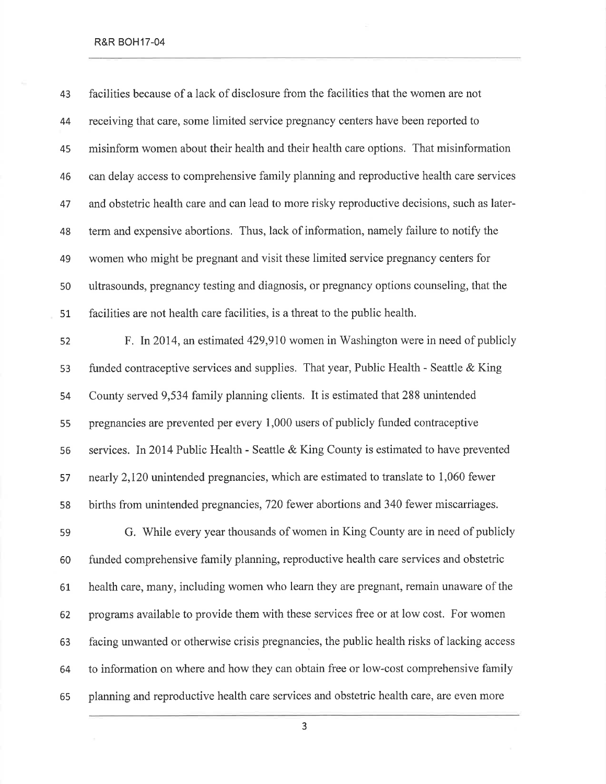| 43 | facilities because of a lack of disclosure from the facilities that the women are not       |
|----|---------------------------------------------------------------------------------------------|
| 44 | receiving that care, some limited service pregnancy centers have been reported to           |
| 45 | misinform women about their health and their health care options. That misinformation       |
| 46 | can delay access to comprehensive family planning and reproductive health care services     |
| 47 | and obstetric health care and can lead to more risky reproductive decisions, such as later- |
| 48 | term and expensive abortions. Thus, lack of information, namely failure to notify the       |
| 49 | women who might be pregnant and visit these limited service pregnancy centers for           |
| 50 | ultrasounds, pregnancy testing and diagnosis, or pregnancy options counseling, that the     |
| 51 | facilities are not health care facilities, is a threat to the public health.                |
| 52 | F. In 2014, an estimated 429,910 women in Washington were in need of publicly               |
| 53 | funded contraceptive services and supplies. That year, Public Health - Seattle & King       |
| 54 | County served 9,534 family planning clients. It is estimated that 288 unintended            |
| 55 | pregnancies are prevented per every 1,000 users of publicly funded contraceptive            |
| 56 | services. In 2014 Public Health - Seattle & King County is estimated to have prevented      |
| 57 | nearly 2,120 unintended pregnancies, which are estimated to translate to 1,060 fewer        |
| 58 | births from unintended pregnancies, 720 fewer abortions and 340 fewer miscarriages.         |
| 59 | G. While every year thousands of women in King County are in need of publicly               |
| 60 | funded comprehensive family planning, reproductive health care services and obstetric       |
| 61 | health care, many, including women who learn they are pregnant, remain unaware of the       |
| 62 | programs available to provide them with these services free or at low cost. For women       |
| 63 | facing unwanted or otherwise crisis pregnancies, the public health risks of lacking access  |
| 64 | to information on where and how they can obtain free or low-cost comprehensive family       |
| 65 | planning and reproductive health care services and obstetric health care, are even more     |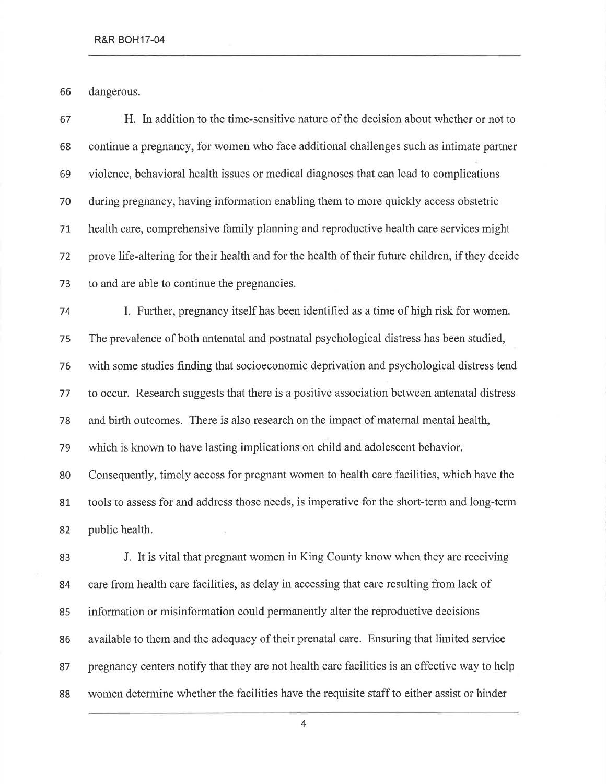dangerous.

H. In addition to the time-sensitive nature of the decision about whether or not to continue a pregnancy, for women who face additional challenges such as intimate partner violence, behavioral health issues or medical diagnoses that can lead to complications during pregnancy, having information enabling them to more quickly access obstetric health care, comprehensive family planning and reproductive health care services might prove life-altering for their health and for the health of their future children, if they decide to and are able to continue the pregnancies.

L Further, pregnancy itself has been identified as a time of high risk for women. The prevalence of both antenatal and postnatal psychological distress has been studied, with some studies finding that socioeconomic deprivation and psychological distress tend to occur. Research suggests that there is a positive association between antenatal distress and birth outcomes. There is also research on the impact of maternal mental health, which is known to have lasting implications on child and adolescent behavior. Consequently, timely access for pregnant women to health care facilities, which have the tools to assess for and address those needs, is imperative for the short-term and long-term

public health.

J. It is vital that pregnant women in King County know when they are receiving care from health care facilities, as delay in accessing that care resulting from lack of information or misinformation could permanently alter the reproductive decisions available to them and the adequacy of their prenatal care. Ensuring that limited service pregnancy centers notify that they are not health care facilities is an effective way to help women determine whether the facilities have the requisite staff to either assist or hinder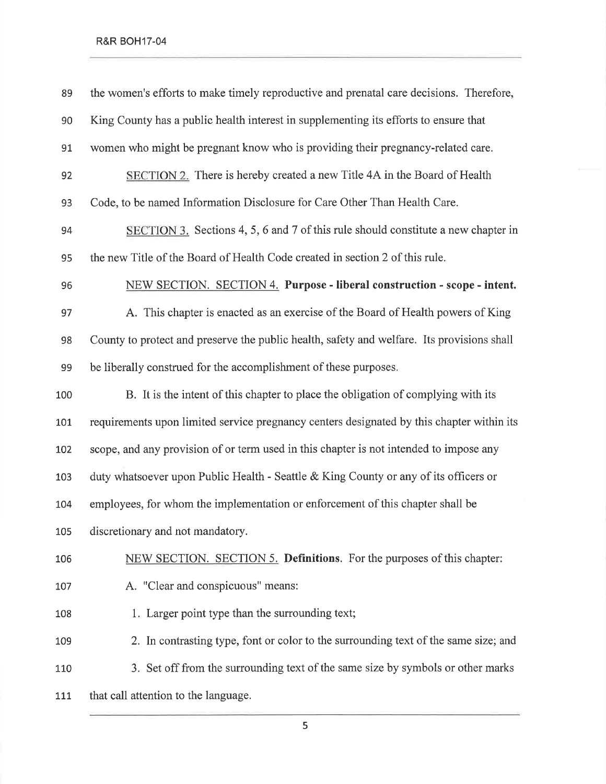| 89  | the women's efforts to make timely reproductive and prenatal care decisions. Therefore,    |
|-----|--------------------------------------------------------------------------------------------|
| 90  | King County has a public health interest in supplementing its efforts to ensure that       |
| 91  | women who might be pregnant know who is providing their pregnancy-related care.            |
| 92  | SECTION 2. There is hereby created a new Title 4A in the Board of Health                   |
| 93  | Code, to be named Information Disclosure for Care Other Than Health Care.                  |
| 94  | SECTION 3. Sections 4, 5, 6 and 7 of this rule should constitute a new chapter in          |
| 95  | the new Title of the Board of Health Code created in section 2 of this rule.               |
| 96  | NEW SECTION. SECTION 4. Purpose - liberal construction - scope - intent.                   |
| 97  | A. This chapter is enacted as an exercise of the Board of Health powers of King            |
| 98  | County to protect and preserve the public health, safety and welfare. Its provisions shall |
| 99  | be liberally construed for the accomplishment of these purposes.                           |
| 100 | B. It is the intent of this chapter to place the obligation of complying with its          |
| 101 | requirements upon limited service pregnancy centers designated by this chapter within its  |
| 102 | scope, and any provision of or term used in this chapter is not intended to impose any     |
| 103 | duty whatsoever upon Public Health - Seattle & King County or any of its officers or       |
| 104 | employees, for whom the implementation or enforcement of this chapter shall be             |
| 105 | discretionary and not mandatory.                                                           |
| 106 | NEW SECTION. SECTION 5. Definitions. For the purposes of this chapter:                     |
| 107 | A. "Clear and conspicuous" means:                                                          |
| 108 | 1. Larger point type than the surrounding text;                                            |
| 109 | 2. In contrasting type, font or color to the surrounding text of the same size; and        |
| 110 | 3. Set off from the surrounding text of the same size by symbols or other marks            |
| 111 | that call attention to the language.                                                       |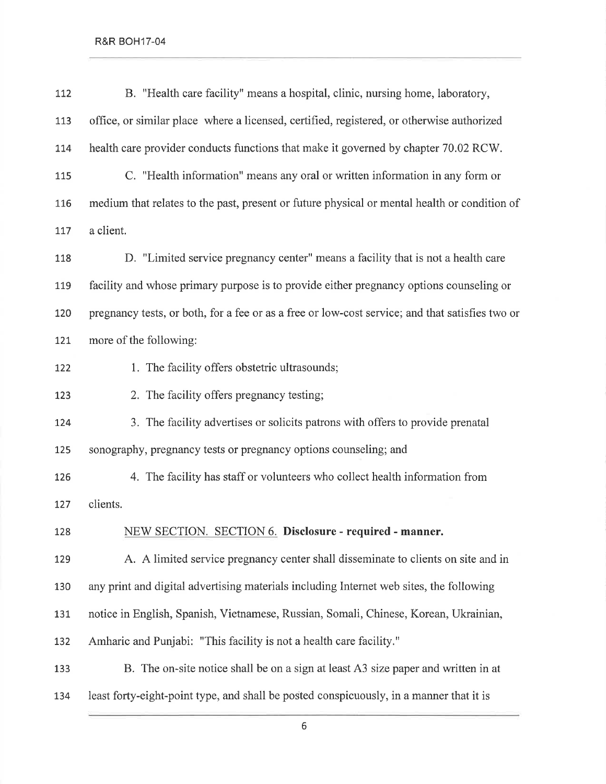| 112 | B. "Health care facility" means a hospital, clinic, nursing home, laboratory,                   |
|-----|-------------------------------------------------------------------------------------------------|
| 113 | office, or similar place where a licensed, certified, registered, or otherwise authorized       |
| 114 | health care provider conducts functions that make it governed by chapter 70.02 RCW.             |
| 115 | C. "Health information" means any oral or written information in any form or                    |
| 116 | medium that relates to the past, present or future physical or mental health or condition of    |
| 117 | a client.                                                                                       |
| 118 | D. "Limited service pregnancy center" means a facility that is not a health care                |
| 119 | facility and whose primary purpose is to provide either pregnancy options counseling or         |
| 120 | pregnancy tests, or both, for a fee or as a free or low-cost service; and that satisfies two or |
| 121 | more of the following:                                                                          |
| 122 | 1. The facility offers obstetric ultrasounds;                                                   |
| 123 | 2. The facility offers pregnancy testing;                                                       |
| 124 | 3. The facility advertises or solicits patrons with offers to provide prenatal                  |
| 125 | sonography, pregnancy tests or pregnancy options counseling; and                                |
| 126 | 4. The facility has staff or volunteers who collect health information from                     |
| 127 | clients.                                                                                        |
| 128 | NEW SECTION. SECTION 6. Disclosure - required - manner.                                         |
| 129 | A. A limited service pregnancy center shall disseminate to clients on site and in               |
| 130 | any print and digital advertising materials including Internet web sites, the following         |
| 131 | notice in English, Spanish, Vietnamese, Russian, Somali, Chinese, Korean, Ukrainian,            |
| 132 | Amharic and Punjabi: "This facility is not a health care facility."                             |
| 133 | B. The on-site notice shall be on a sign at least A3 size paper and written in at               |
| 134 | least forty-eight-point type, and shall be posted conspicuously, in a manner that it is         |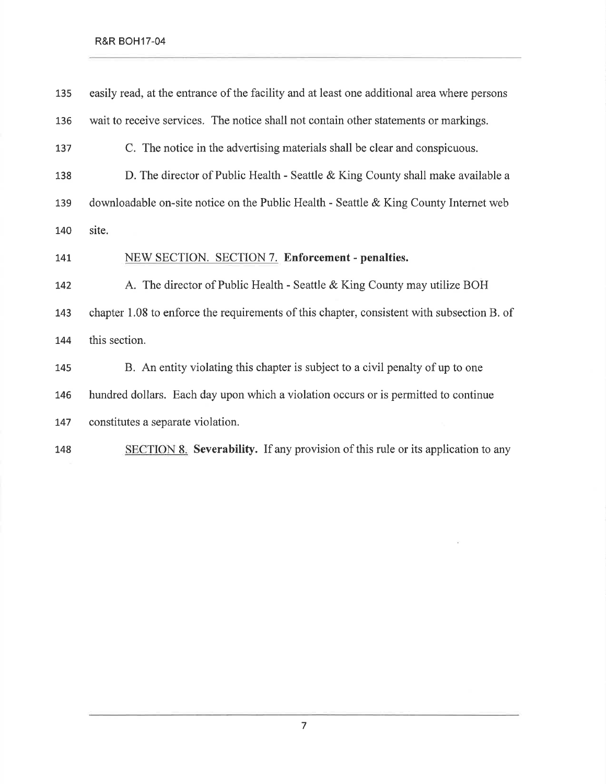| 135 | easily read, at the entrance of the facility and at least one additional area where persons |
|-----|---------------------------------------------------------------------------------------------|
| 136 | wait to receive services. The notice shall not contain other statements or markings.        |
| 137 | C. The notice in the advertising materials shall be clear and conspicuous.                  |
| 138 | D. The director of Public Health - Seattle & King County shall make available a             |
| 139 | downloadable on-site notice on the Public Health - Seattle & King County Internet web       |
| 140 | site.                                                                                       |
| 141 | NEW SECTION. SECTION 7. Enforcement - penalties.                                            |
| 142 | A. The director of Public Health - Seattle & King County may utilize BOH                    |
| 143 | chapter 1.08 to enforce the requirements of this chapter, consistent with subsection B. of  |
| 144 | this section.                                                                               |
| 145 | B. An entity violating this chapter is subject to a civil penalty of up to one              |
| 146 | hundred dollars. Each day upon which a violation occurs or is permitted to continue         |
| 147 | constitutes a separate violation.                                                           |
| 148 | <b>SECTION 8. Severability.</b> If any provision of this rule or its application to any     |

7

 $\mathcal{H}$